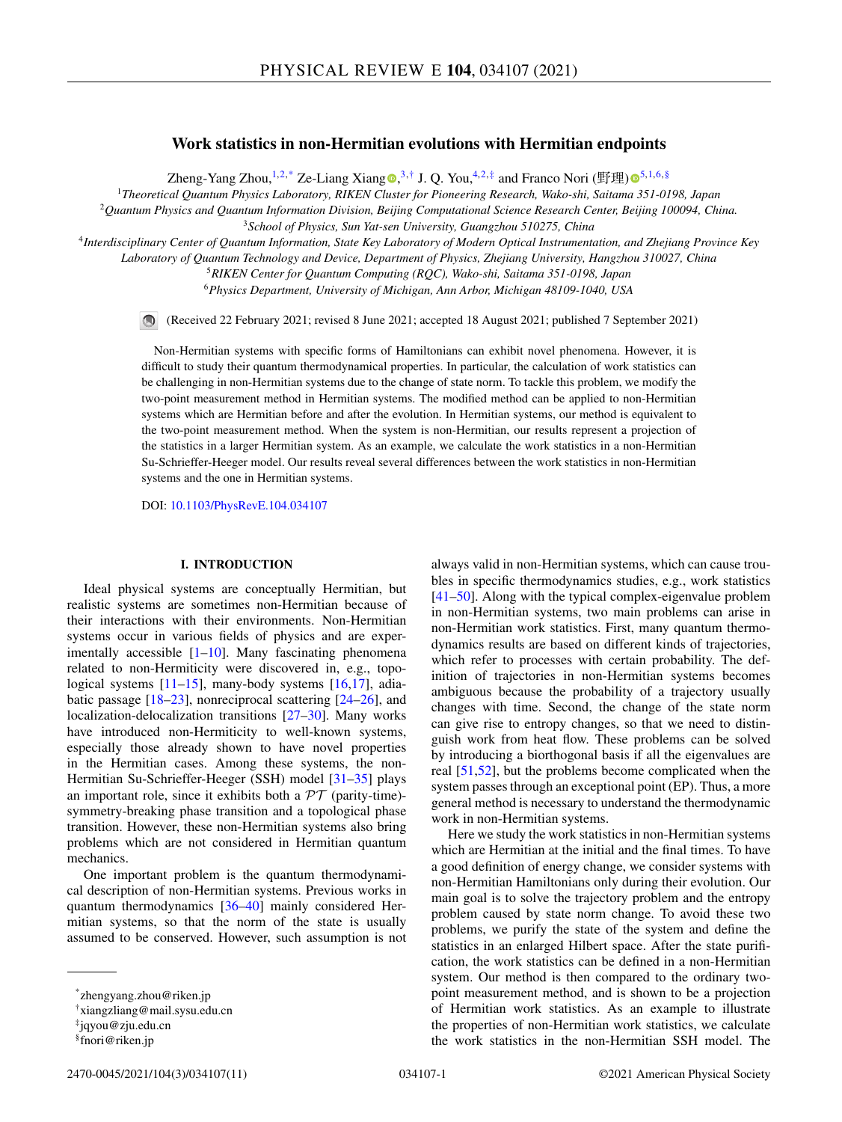# **Work statistics in non-Hermitian evolutions with Hermitian endpoints**

Zheng-Yang Zhou[,](https://orcid.org/0000-0003-0780-7635)<sup>1,2,\*</sup> Ze-Liang Xiang  $\bullet$ ,<sup>3,†</sup> J. Q. You,<sup>4,2,‡</sup> and Franco Nori (野理[\)](https://orcid.org/0000-0003-3682-7432)  $\bullet$ <sup>5,1,6,§</sup>

<sup>1</sup>*Theoretical Quantum Physics Laboratory, RIKEN Cluster for Pioneering Research, Wako-shi, Saitama 351-0198, Japan*

<sup>2</sup>*Quantum Physics and Quantum Information Division, Beijing Computational Science Research Center, Beijing 100094, China.*

<sup>3</sup>*School of Physics, Sun Yat-sen University, Guangzhou 510275, China*

<sup>4</sup>*Interdisciplinary Center of Quantum Information, State Key Laboratory of Modern Optical Instrumentation, and Zhejiang Province Key*

*Laboratory of Quantum Technology and Device, Department of Physics, Zhejiang University, Hangzhou 310027, China*

<sup>5</sup>*RIKEN Center for Quantum Computing (RQC), Wako-shi, Saitama 351-0198, Japan*

<sup>6</sup>*Physics Department, University of Michigan, Ann Arbor, Michigan 48109-1040, USA*

(Received 22 February 2021; revised 8 June 2021; accepted 18 August 2021; published 7 September 2021)

Non-Hermitian systems with specific forms of Hamiltonians can exhibit novel phenomena. However, it is difficult to study their quantum thermodynamical properties. In particular, the calculation of work statistics can be challenging in non-Hermitian systems due to the change of state norm. To tackle this problem, we modify the two-point measurement method in Hermitian systems. The modified method can be applied to non-Hermitian systems which are Hermitian before and after the evolution. In Hermitian systems, our method is equivalent to the two-point measurement method. When the system is non-Hermitian, our results represent a projection of the statistics in a larger Hermitian system. As an example, we calculate the work statistics in a non-Hermitian Su-Schrieffer-Heeger model. Our results reveal several differences between the work statistics in non-Hermitian systems and the one in Hermitian systems.

DOI: [10.1103/PhysRevE.104.034107](https://doi.org/10.1103/PhysRevE.104.034107)

# **I. INTRODUCTION**

Ideal physical systems are conceptually Hermitian, but realistic systems are sometimes non-Hermitian because of their interactions with their environments. Non-Hermitian systems occur in various fields of physics and are experimentally accessible  $[1-10]$ . Many fascinating phenomena related to non-Hermiticity were discovered in, e.g., topo-logical systems [\[11](#page-8-0)[–15\]](#page-9-0), many-body systems [\[16,17\]](#page-9-0), adiabatic passage [\[18–23\]](#page-9-0), nonreciprocal scattering [\[24–26\]](#page-9-0), and localization-delocalization transitions [\[27–30\]](#page-9-0). Many works have introduced non-Hermiticity to well-known systems, especially those already shown to have novel properties in the Hermitian cases. Among these systems, the non-Hermitian Su-Schrieffer-Heeger (SSH) model [\[31–35\]](#page-9-0) plays an important role, since it exhibits both a  $\mathcal{PT}$  (parity-time)symmetry-breaking phase transition and a topological phase transition. However, these non-Hermitian systems also bring problems which are not considered in Hermitian quantum mechanics.

One important problem is the quantum thermodynamical description of non-Hermitian systems. Previous works in quantum thermodynamics [\[36–40\]](#page-9-0) mainly considered Hermitian systems, so that the norm of the state is usually assumed to be conserved. However, such assumption is not

always valid in non-Hermitian systems, which can cause troubles in specific thermodynamics studies, e.g., work statistics [\[41–50\]](#page-9-0). Along with the typical complex-eigenvalue problem in non-Hermitian systems, two main problems can arise in non-Hermitian work statistics. First, many quantum thermodynamics results are based on different kinds of trajectories, which refer to processes with certain probability. The definition of trajectories in non-Hermitian systems becomes ambiguous because the probability of a trajectory usually changes with time. Second, the change of the state norm can give rise to entropy changes, so that we need to distinguish work from heat flow. These problems can be solved by introducing a biorthogonal basis if all the eigenvalues are real [\[51,52\]](#page-9-0), but the problems become complicated when the system passes through an exceptional point (EP). Thus, a more general method is necessary to understand the thermodynamic work in non-Hermitian systems.

Here we study the work statistics in non-Hermitian systems which are Hermitian at the initial and the final times. To have a good definition of energy change, we consider systems with non-Hermitian Hamiltonians only during their evolution. Our main goal is to solve the trajectory problem and the entropy problem caused by state norm change. To avoid these two problems, we purify the state of the system and define the statistics in an enlarged Hilbert space. After the state purification, the work statistics can be defined in a non-Hermitian system. Our method is then compared to the ordinary twopoint measurement method, and is shown to be a projection of Hermitian work statistics. As an example to illustrate the properties of non-Hermitian work statistics, we calculate the work statistics in the non-Hermitian SSH model. The

<sup>\*</sup>zhengyang.zhou@riken.jp

<sup>†</sup>xiangzliang@mail.sysu.edu.cn

<sup>‡</sup>jqyou@zju.edu.cn

<sup>§</sup>fnori@riken.jp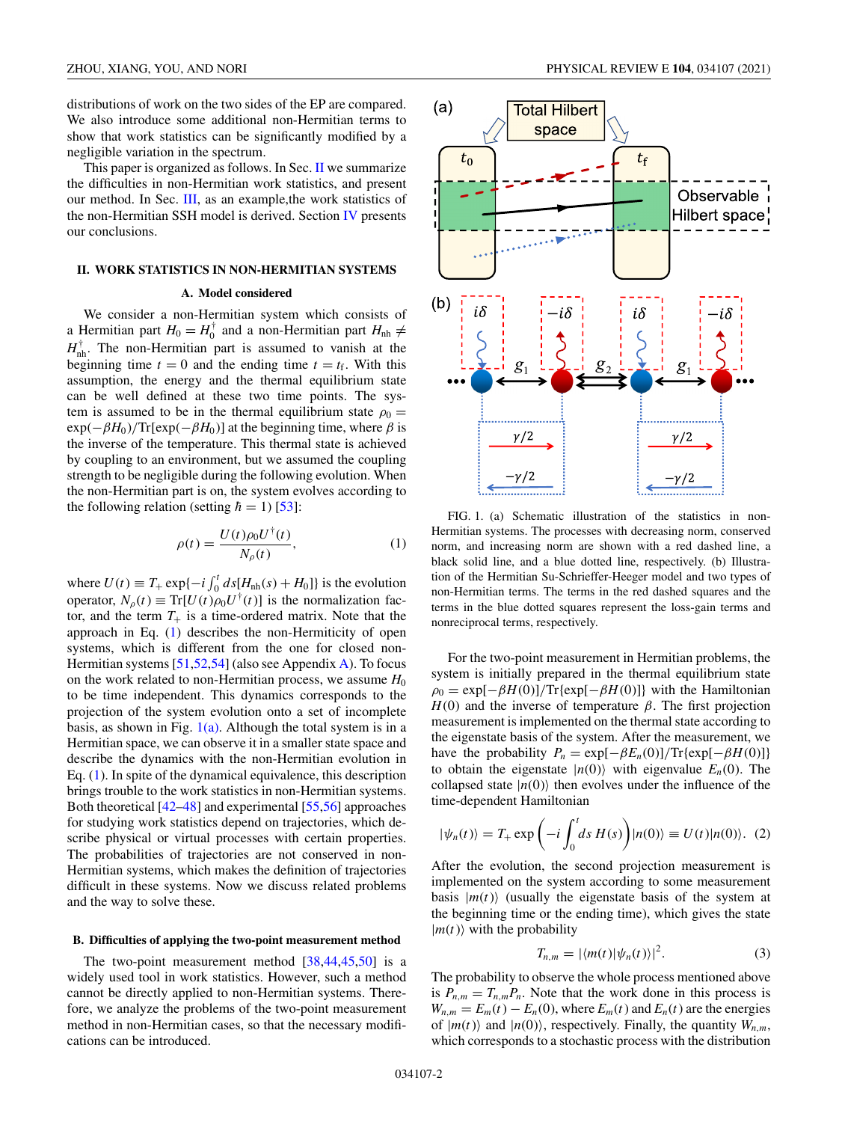<span id="page-1-0"></span>distributions of work on the two sides of the EP are compared. We also introduce some additional non-Hermitian terms to show that work statistics can be significantly modified by a negligible variation in the spectrum.

This paper is organized as follows. In Sec. II we summarize the difficulties in non-Hermitian work statistics, and present our method. In Sec. [III,](#page-4-0) as an example,the work statistics of the non-Hermitian SSH model is derived. Section [IV](#page-7-0) presents our conclusions.

## **II. WORK STATISTICS IN NON-HERMITIAN SYSTEMS**

#### **A. Model considered**

We consider a non-Hermitian system which consists of a Hermitian part  $H_0 = H_0^{\dagger}$  and a non-Hermitian part  $H_{\text{nh}} \neq$  $H_{\text{nh}}^{\dagger}$ . The non-Hermitian part is assumed to vanish at the beginning time  $t = 0$  and the ending time  $t = t_f$ . With this assumption, the energy and the thermal equilibrium state can be well defined at these two time points. The system is assumed to be in the thermal equilibrium state  $\rho_0 =$  $exp(-\beta H_0)/Tr[exp(-\beta H_0)]$  at the beginning time, where  $\beta$  is the inverse of the temperature. This thermal state is achieved by coupling to an environment, but we assumed the coupling strength to be negligible during the following evolution. When the non-Hermitian part is on, the system evolves according to the following relation (setting  $\hbar = 1$ ) [\[53\]](#page-9-0):

$$
\rho(t) = \frac{U(t)\rho_0 U^{\dagger}(t)}{N_\rho(t)},\tag{1}
$$

where  $U(t) \equiv T_+ \exp\{-i \int_0^t ds [H_{nh}(s) + H_0]\}$  is the evolution operator,  $N_{\rho}(t) \equiv \text{Tr}[U(t)\rho_0 U^{\dagger}(t)]$  is the normalization factor, and the term  $T_+$  is a time-ordered matrix. Note that the approach in Eq. (1) describes the non-Hermiticity of open systems, which is different from the one for closed non-Hermitian systems [\[51,52,54\]](#page-9-0) (also see Appendix [A\)](#page-7-0). To focus on the work related to non-Hermitian process, we assume  $H_0$ to be time independent. This dynamics corresponds to the projection of the system evolution onto a set of incomplete basis, as shown in Fig.  $1(a)$ . Although the total system is in a Hermitian space, we can observe it in a smaller state space and describe the dynamics with the non-Hermitian evolution in Eq. (1). In spite of the dynamical equivalence, this description brings trouble to the work statistics in non-Hermitian systems. Both theoretical [\[42–48\]](#page-9-0) and experimental [\[55,56\]](#page-9-0) approaches for studying work statistics depend on trajectories, which describe physical or virtual processes with certain properties. The probabilities of trajectories are not conserved in non-Hermitian systems, which makes the definition of trajectories difficult in these systems. Now we discuss related problems and the way to solve these.

#### **B. Difficulties of applying the two-point measurement method**

The two-point measurement method [\[38,44,45,50\]](#page-9-0) is a widely used tool in work statistics. However, such a method cannot be directly applied to non-Hermitian systems. Therefore, we analyze the problems of the two-point measurement method in non-Hermitian cases, so that the necessary modifications can be introduced.



FIG. 1. (a) Schematic illustration of the statistics in non-Hermitian systems. The processes with decreasing norm, conserved norm, and increasing norm are shown with a red dashed line, a black solid line, and a blue dotted line, respectively. (b) Illustration of the Hermitian Su-Schrieffer-Heeger model and two types of non-Hermitian terms. The terms in the red dashed squares and the terms in the blue dotted squares represent the loss-gain terms and nonreciprocal terms, respectively.

For the two-point measurement in Hermitian problems, the system is initially prepared in the thermal equilibrium state  $\rho_0 = \exp[-\beta H(0)] / \text{Tr}\{\exp[-\beta H(0)]\}$  with the Hamiltonian  $H(0)$  and the inverse of temperature  $\beta$ . The first projection measurement is implemented on the thermal state according to the eigenstate basis of the system. After the measurement, we have the probability  $P_n = \exp[-\beta E_n(0)] / \text{Tr}\{\exp[-\beta H(0)]\}$ to obtain the eigenstate  $|n(0)\rangle$  with eigenvalue  $E_n(0)$ . The collapsed state  $|n(0)\rangle$  then evolves under the influence of the time-dependent Hamiltonian

$$
|\psi_n(t)\rangle = T_+ \exp\left(-i \int_0^t ds H(s)\right)|n(0)\rangle \equiv U(t)|n(0)\rangle. (2)
$$

After the evolution, the second projection measurement is implemented on the system according to some measurement basis  $|m(t)\rangle$  (usually the eigenstate basis of the system at the beginning time or the ending time), which gives the state  $|m(t)\rangle$  with the probability

$$
T_{n,m} = |\langle m(t)|\psi_n(t)\rangle|^2.
$$
 (3)

The probability to observe the whole process mentioned above is  $P_{n,m} = T_{n,m}P_n$ . Note that the work done in this process is  $W_{n,m} = E_m(t) - E_n(0)$ , where  $E_m(t)$  and  $E_n(t)$  are the energies of  $|m(t)\rangle$  and  $|n(0)\rangle$ , respectively. Finally, the quantity  $W_{n,m}$ , which corresponds to a stochastic process with the distribution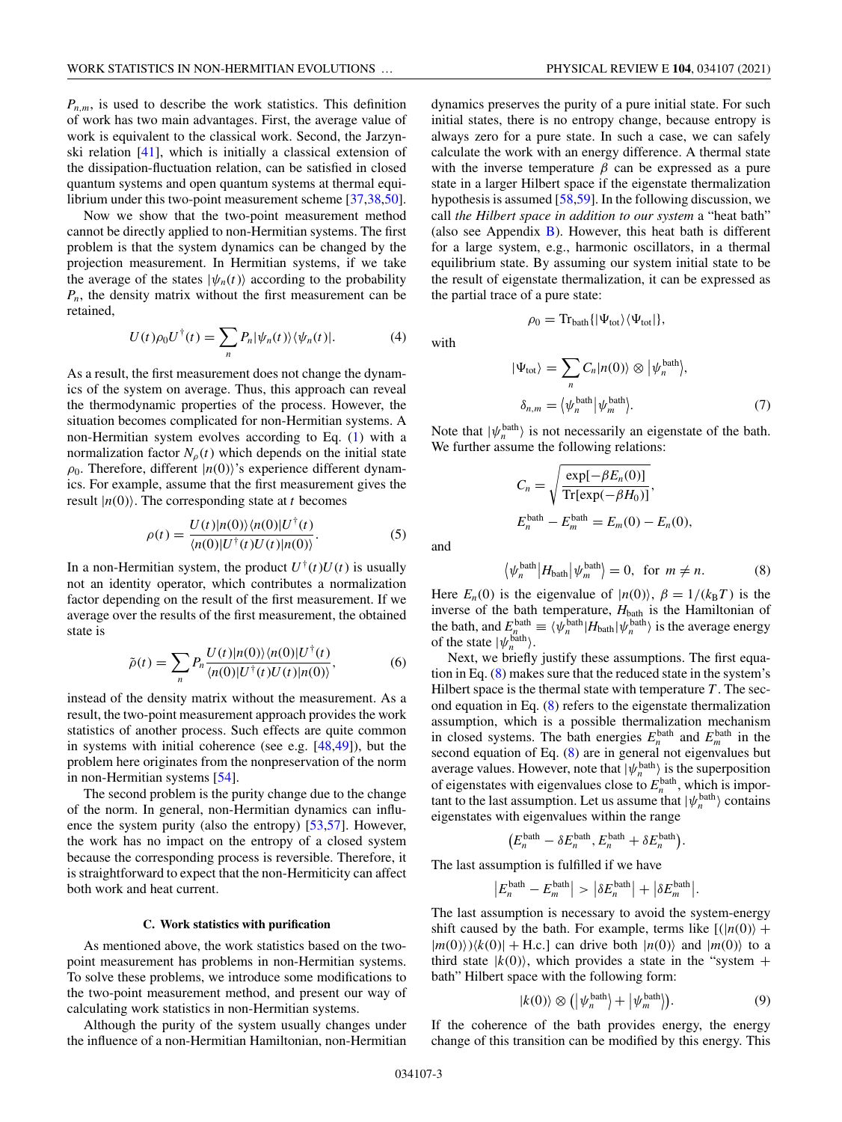<span id="page-2-0"></span> $P_{n,m}$ , is used to describe the work statistics. This definition of work has two main advantages. First, the average value of work is equivalent to the classical work. Second, the Jarzynski relation [\[41\]](#page-9-0), which is initially a classical extension of the dissipation-fluctuation relation, can be satisfied in closed quantum systems and open quantum systems at thermal equi-librium under this two-point measurement scheme [\[37,38,50\]](#page-9-0).

Now we show that the two-point measurement method cannot be directly applied to non-Hermitian systems. The first problem is that the system dynamics can be changed by the projection measurement. In Hermitian systems, if we take the average of the states  $|\psi_n(t)\rangle$  according to the probability  $P_n$ , the density matrix without the first measurement can be retained,

$$
U(t)\rho_0 U^{\dagger}(t) = \sum_n P_n |\psi_n(t)\rangle \langle \psi_n(t)|. \tag{4}
$$

As a result, the first measurement does not change the dynamics of the system on average. Thus, this approach can reveal the thermodynamic properties of the process. However, the situation becomes complicated for non-Hermitian systems. A non-Hermitian system evolves according to Eq. [\(1\)](#page-1-0) with a normalization factor  $N_{\rho}(t)$  which depends on the initial state  $\rho_0$ . Therefore, different  $|n(0)\rangle$ 's experience different dynamics. For example, assume that the first measurement gives the result  $|n(0)\rangle$ . The corresponding state at *t* becomes

$$
\rho(t) = \frac{U(t)|n(0)\rangle\langle n(0)|U^{\dagger}(t)}{\langle n(0)|U^{\dagger}(t)U(t)|n(0)\rangle}.
$$
\n(5)

In a non-Hermitian system, the product  $U^{\dagger}(t)U(t)$  is usually not an identity operator, which contributes a normalization factor depending on the result of the first measurement. If we average over the results of the first measurement, the obtained state is

$$
\tilde{\rho}(t) = \sum_{n} P_n \frac{U(t)|n(0)\rangle\langle n(0)|U^{\dagger}(t)}{\langle n(0)|U^{\dagger}(t)U(t)|n(0)\rangle},\tag{6}
$$

instead of the density matrix without the measurement. As a result, the two-point measurement approach provides the work statistics of another process. Such effects are quite common in systems with initial coherence (see e.g. [\[48,49\]](#page-9-0)), but the problem here originates from the nonpreservation of the norm in non-Hermitian systems [\[54\]](#page-9-0).

The second problem is the purity change due to the change of the norm. In general, non-Hermitian dynamics can influ-ence the system purity (also the entropy) [\[53,](#page-9-0)[57\]](#page-10-0). However, the work has no impact on the entropy of a closed system because the corresponding process is reversible. Therefore, it is straightforward to expect that the non-Hermiticity can affect both work and heat current.

# **C. Work statistics with purification**

As mentioned above, the work statistics based on the twopoint measurement has problems in non-Hermitian systems. To solve these problems, we introduce some modifications to the two-point measurement method, and present our way of calculating work statistics in non-Hermitian systems.

Although the purity of the system usually changes under the influence of a non-Hermitian Hamiltonian, non-Hermitian

dynamics preserves the purity of a pure initial state. For such initial states, there is no entropy change, because entropy is always zero for a pure state. In such a case, we can safely calculate the work with an energy difference. A thermal state with the inverse temperature  $\beta$  can be expressed as a pure state in a larger Hilbert space if the eigenstate thermalization hypothesis is assumed [\[58,59\]](#page-10-0). In the following discussion, we call *the Hilbert space in addition to our system* a "heat bath" (also see Appendix  $\overline{B}$ ). However, this heat bath is different for a large system, e.g., harmonic oscillators, in a thermal equilibrium state. By assuming our system initial state to be the result of eigenstate thermalization, it can be expressed as the partial trace of a pure state:

with

$$
f_{\rm{max}}
$$

 $\rho_0 = \text{Tr}_{\text{bath}}\{|\Psi_{\text{tot}}\rangle\langle\Psi_{\text{tot}}|\},$ 

$$
|\Psi_{\text{tot}}\rangle = \sum_{n} C_{n} |n(0)\rangle \otimes |\psi_{n}^{\text{bath}}\rangle, \n\delta_{n,m} = \langle \psi_{n}^{\text{bath}} | \psi_{m}^{\text{bath}} \rangle.
$$
\n(7)

Note that  $|\psi_n^{\text{bath}}\rangle$  is not necessarily an eigenstate of the bath. We further assume the following relations:

$$
C_n = \sqrt{\frac{\exp[-\beta E_n(0)]}{\text{Tr}[\exp(-\beta H_0)]}},
$$
  
\n
$$
E_n^{\text{bath}} - E_m^{\text{bath}} = E_m(0) - E_n(0),
$$

and

 $\langle$ 

$$
\psi_n^{\text{bath}} \left| H_{\text{bath}} \right| \psi_m^{\text{bath}} = 0, \text{ for } m \neq n. \tag{8}
$$

Here  $E_n(0)$  is the eigenvalue of  $|n(0)\rangle$ ,  $\beta = 1/(k_B T)$  is the inverse of the bath temperature,  $H_{\text{bath}}$  is the Hamiltonian of the bath, and  $E_n^{\text{bath}} \equiv \langle \psi_n^{\text{bath}} | H_{\text{bath}} | \psi_n^{\text{bath}} \rangle$  is the average energy of the state  $|\psi_n^{\text{bath}}\rangle$ .

Next, we briefly justify these assumptions. The first equation in Eq. (8) makes sure that the reduced state in the system's Hilbert space is the thermal state with temperature *T* . The second equation in Eq. (8) refers to the eigenstate thermalization assumption, which is a possible thermalization mechanism in closed systems. The bath energies  $E_n^{\text{bath}}$  and  $E_m^{\text{bath}}$  in the second equation of Eq. (8) are in general not eigenvalues but average values. However, note that  $|\psi_n^{\text{bath}}\rangle$  is the superposition of eigenstates with eigenvalues close to  $E_n^{\text{bath}}$ , which is important to the last assumption. Let us assume that  $|\psi_n^{\text{bath}}\rangle$  contains eigenstates with eigenvalues within the range

$$
(E_n^{\text{bath}} - \delta E_n^{\text{bath}}, E_n^{\text{bath}} + \delta E_n^{\text{bath}}).
$$

The last assumption is fulfilled if we have

$$
\left|E_n^{\text{bath}} - E_m^{\text{bath}}\right| > \left|\delta E_n^{\text{bath}}\right| + \left|\delta E_m^{\text{bath}}\right|.
$$

The last assumption is necessary to avoid the system-energy shift caused by the bath. For example, terms like  $[(n(0)) +$  $|m(0)\rangle\langle k(0)| +$  H.c.] can drive both  $|n(0)\rangle$  and  $|m(0)\rangle$  to a third state  $|k(0)\rangle$ , which provides a state in the "system + bath" Hilbert space with the following form:

$$
|k(0)\rangle \otimes (|\psi_n^{\text{bath}}\rangle + |\psi_m^{\text{bath}}\rangle). \tag{9}
$$

If the coherence of the bath provides energy, the energy change of this transition can be modified by this energy. This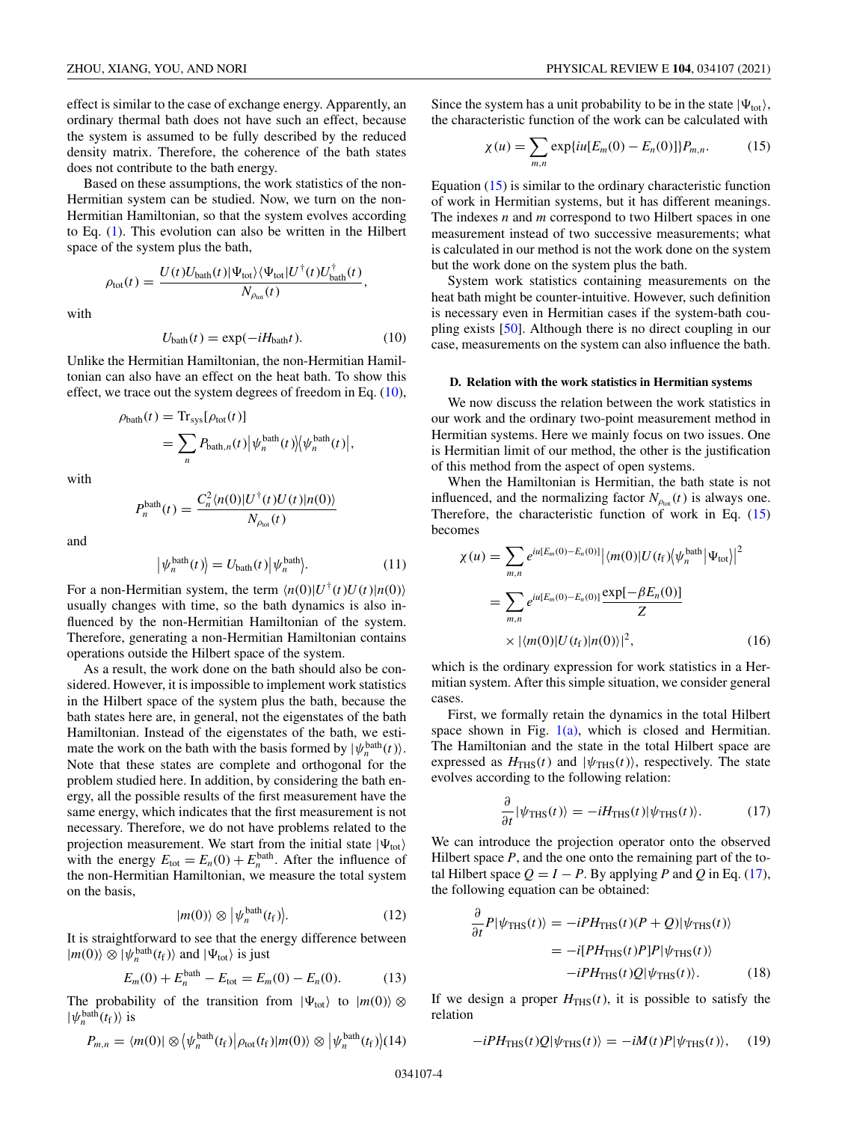<span id="page-3-0"></span>effect is similar to the case of exchange energy. Apparently, an ordinary thermal bath does not have such an effect, because the system is assumed to be fully described by the reduced density matrix. Therefore, the coherence of the bath states does not contribute to the bath energy.

Based on these assumptions, the work statistics of the non-Hermitian system can be studied. Now, we turn on the non-Hermitian Hamiltonian, so that the system evolves according to Eq. [\(1\)](#page-1-0). This evolution can also be written in the Hilbert space of the system plus the bath,

$$
\rho_{\text{tot}}(t) = \frac{U(t)U_{\text{bath}}(t)|\Psi_{\text{tot}}\rangle\langle\Psi_{\text{tot}}|U^{\dagger}(t)U_{\text{bath}}^{\dagger}(t)}{N_{\rho_{\text{tot}}}(t)},
$$

with

$$
U_{\text{bath}}(t) = \exp(-iH_{\text{bath}}t). \tag{10}
$$

Unlike the Hermitian Hamiltonian, the non-Hermitian Hamiltonian can also have an effect on the heat bath. To show this effect, we trace out the system degrees of freedom in Eq.  $(10)$ ,

$$
\rho_{\text{bath}}(t) = \text{Tr}_{\text{sys}}[\rho_{\text{tot}}(t)]
$$
  
= 
$$
\sum_{n} P_{\text{bath},n}(t) |\psi_{n}^{\text{bath}}(t)| \langle \psi_{n}^{\text{bath}}(t) |,
$$

with

$$
P_n^{\text{bath}}(t) = \frac{C_n^2 \langle n(0)|U^{\dagger}(t)U(t)|n(0)\rangle}{N_{\rho_{\text{tot}}}(t)}
$$

and

$$
|\psi_n^{\text{bath}}(t)\rangle = U_{\text{bath}}(t)|\psi_n^{\text{bath}}\rangle. \tag{11}
$$

For a non-Hermitian system, the term  $\langle n(0)|U^{\dagger}(t)U(t)|n(0)\rangle$ usually changes with time, so the bath dynamics is also influenced by the non-Hermitian Hamiltonian of the system. Therefore, generating a non-Hermitian Hamiltonian contains operations outside the Hilbert space of the system.

As a result, the work done on the bath should also be considered. However, it is impossible to implement work statistics in the Hilbert space of the system plus the bath, because the bath states here are, in general, not the eigenstates of the bath Hamiltonian. Instead of the eigenstates of the bath, we estimate the work on the bath with the basis formed by  $|\psi_n^{\text{bath}}(t)\rangle$ . Note that these states are complete and orthogonal for the problem studied here. In addition, by considering the bath energy, all the possible results of the first measurement have the same energy, which indicates that the first measurement is not necessary. Therefore, we do not have problems related to the projection measurement. We start from the initial state  $|\Psi_{\text{tot}}\rangle$ with the energy  $E_{\text{tot}} = E_n(0) + E_n^{\text{bath}}$ . After the influence of the non-Hermitian Hamiltonian, we measure the total system on the basis,

$$
|m(0)\rangle \otimes |\psi_n^{\text{bath}}(t_{\text{f}})\rangle. \tag{12}
$$

It is straightforward to see that the energy difference between  $|m(0)\rangle \otimes |\psi_n^{\text{bath}}(t_f)\rangle$  and  $|\Psi_{\text{tot}}\rangle$  is just

$$
E_m(0) + E_n^{\text{bath}} - E_{\text{tot}} = E_m(0) - E_n(0). \tag{13}
$$

The probability of the transition from  $|\Psi_{\text{tot}}\rangle$  to  $|m(0)\rangle \otimes$  $|\psi_n^{\text{bath}}(t_{\text{f}})\rangle$  is

$$
P_{m,n} = \langle m(0) | \otimes \left\langle \psi_n^{\text{bath}}(t_{\text{f}}) | \rho_{\text{tot}}(t_{\text{f}}) | m(0) \right\rangle \otimes \left| \psi_n^{\text{bath}}(t_{\text{f}}) \right\rangle (14)
$$

Since the system has a unit probability to be in the state  $|\Psi_{\text{tot}}\rangle$ , the characteristic function of the work can be calculated with

$$
\chi(u) = \sum_{m,n} \exp\{iu[E_m(0) - E_n(0)]\} P_{m,n}.
$$
 (15)

Equation (15) is similar to the ordinary characteristic function of work in Hermitian systems, but it has different meanings. The indexes *n* and *m* correspond to two Hilbert spaces in one measurement instead of two successive measurements; what is calculated in our method is not the work done on the system but the work done on the system plus the bath.

System work statistics containing measurements on the heat bath might be counter-intuitive. However, such definition is necessary even in Hermitian cases if the system-bath coupling exists [\[50\]](#page-9-0). Although there is no direct coupling in our case, measurements on the system can also influence the bath.

# **D. Relation with the work statistics in Hermitian systems**

We now discuss the relation between the work statistics in our work and the ordinary two-point measurement method in Hermitian systems. Here we mainly focus on two issues. One is Hermitian limit of our method, the other is the justification of this method from the aspect of open systems.

When the Hamiltonian is Hermitian, the bath state is not influenced, and the normalizing factor  $N_{\rho_{tot}}(t)$  is always one. Therefore, the characteristic function of work in Eq. (15) becomes

$$
\chi(u) = \sum_{m,n} e^{iu[E_m(0) - E_n(0)]} |\langle m(0)| U(t_f) \langle \psi_n^{\text{bath}} | \Psi_{\text{tot}} \rangle|^2
$$
  
= 
$$
\sum_{m,n} e^{iu[E_m(0) - E_n(0)]} \frac{\exp[-\beta E_n(0)]}{Z}
$$
  

$$
\times |\langle m(0)| U(t_f) | n(0) \rangle|^2,
$$
 (16)

which is the ordinary expression for work statistics in a Hermitian system. After this simple situation, we consider general cases.

First, we formally retain the dynamics in the total Hilbert space shown in Fig.  $1(a)$ , which is closed and Hermitian. The Hamiltonian and the state in the total Hilbert space are expressed as  $H_{\text{THS}}(t)$  and  $|\psi_{\text{THS}}(t)\rangle$ , respectively. The state evolves according to the following relation:

$$
\frac{\partial}{\partial t} |\psi_{\text{THS}}(t)\rangle = -iH_{\text{THS}}(t)|\psi_{\text{THS}}(t)\rangle. \tag{17}
$$

We can introduce the projection operator onto the observed Hilbert space *P*, and the one onto the remaining part of the total Hilbert space  $Q = I - P$ . By applying P and Q in Eq. (17), the following equation can be obtained:

$$
\frac{\partial}{\partial t}P|\psi_{\text{THS}}(t)\rangle = -iPH_{\text{THS}}(t)(P+Q)|\psi_{\text{THS}}(t)\rangle
$$

$$
= -i[PH_{\text{THS}}(t)P]P|\psi_{\text{THS}}(t)\rangle
$$

$$
-iPH_{\text{THS}}(t)Q|\psi_{\text{THS}}(t)\rangle.
$$
(18)

If we design a proper  $H_{\text{THS}}(t)$ , it is possible to satisfy the relation

$$
-iPH_{\text{THS}}(t)Q|\psi_{\text{THS}}(t)\rangle = -iM(t)P|\psi_{\text{THS}}(t)\rangle, \quad (19)
$$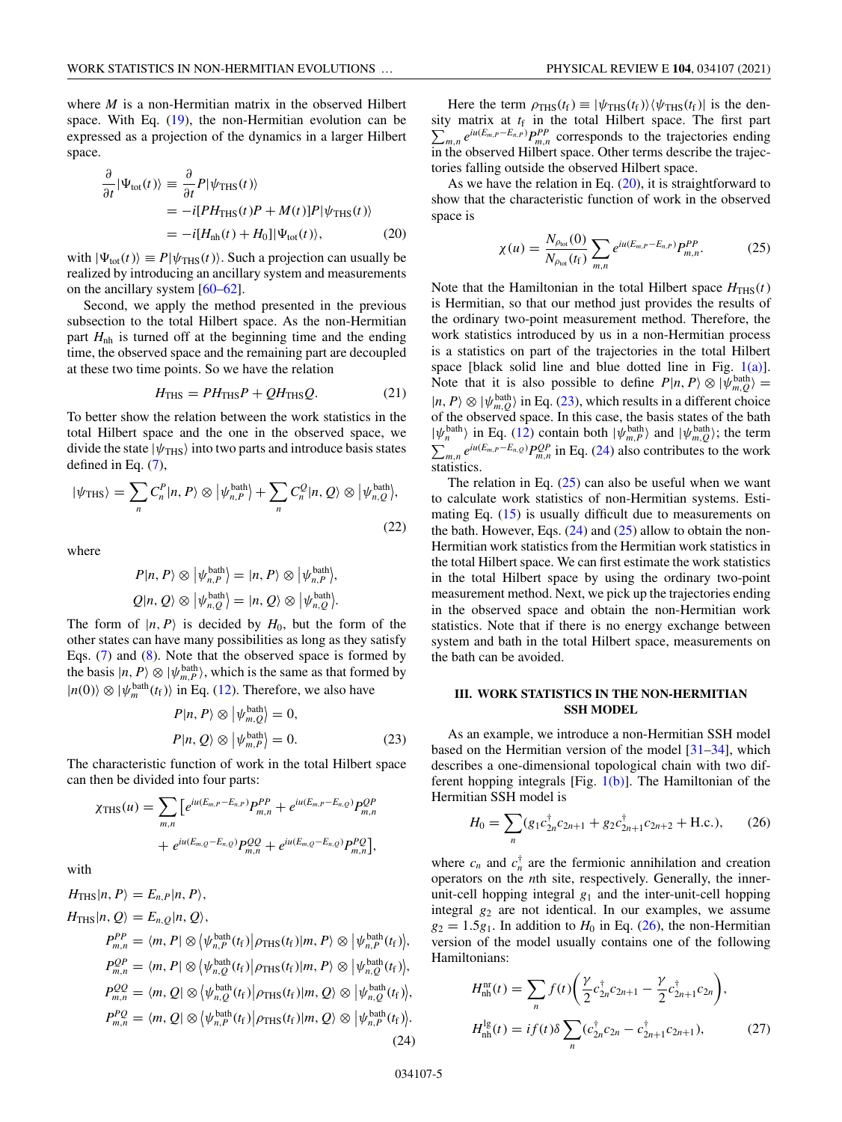<span id="page-4-0"></span>where *M* is a non-Hermitian matrix in the observed Hilbert space. With Eq. [\(19\)](#page-3-0), the non-Hermitian evolution can be expressed as a projection of the dynamics in a larger Hilbert space.

$$
\frac{\partial}{\partial t} |\Psi_{\text{tot}}(t)\rangle \equiv \frac{\partial}{\partial t} P |\psi_{\text{THS}}(t)\rangle
$$
  
=  $-i[PH_{\text{THS}}(t)P + M(t)]P |\psi_{\text{THS}}(t)\rangle$   
=  $-i[H_{\text{nh}}(t) + H_0] |\Psi_{\text{tot}}(t)\rangle,$  (20)

with  $|\Psi_{\text{tot}}(t)\rangle \equiv P|\psi_{\text{THS}}(t)\rangle$ . Such a projection can usually be realized by introducing an ancillary system and measurements on the ancillary system [\[60–62\]](#page-10-0).

Second, we apply the method presented in the previous subsection to the total Hilbert space. As the non-Hermitian part  $H_{\text{nh}}$  is turned off at the beginning time and the ending time, the observed space and the remaining part are decoupled at these two time points. So we have the relation

$$
H_{\rm THS} = PH_{\rm THS}P + QH_{\rm THS}Q. \tag{21}
$$

To better show the relation between the work statistics in the total Hilbert space and the one in the observed space, we divide the state  $|\psi_{\text{THS}}\rangle$  into two parts and introduce basis states defined in Eq. [\(7\)](#page-2-0),

$$
|\psi_{\text{THS}}\rangle = \sum_{n} C_{n}^{P} |n, P\rangle \otimes |\psi_{n,P}^{\text{bath}}\rangle + \sum_{n} C_{n}^{Q} |n, Q\rangle \otimes |\psi_{n,Q}^{\text{bath}}\rangle, \tag{22}
$$

where

$$
P|n, P\rangle \otimes |\psi_{n, P}^{\text{bath}}\rangle = |n, P\rangle \otimes |\psi_{n, P}^{\text{bath}}\rangle,
$$
  

$$
Q|n, Q\rangle \otimes |\psi_{n, Q}^{\text{bath}}\rangle = |n, Q\rangle \otimes |\psi_{n, Q}^{\text{bath}}\rangle.
$$

The form of  $|n, P\rangle$  is decided by  $H_0$ , but the form of the other states can have many possibilities as long as they satisfy Eqs. [\(7\)](#page-2-0) and [\(8\)](#page-2-0). Note that the observed space is formed by the basis  $|n, P \rangle \otimes |\psi_{m,P}^{\text{bath}}\rangle$ , which is the same as that formed by  $|n(0)\rangle \otimes |\psi_m^{\text{bath}}(t_f)\rangle$  in Eq. [\(12\)](#page-3-0). Therefore, we also have

$$
P|n, P\rangle \otimes |\psi_{m,Q}^{\text{bath}}\rangle = 0,
$$
  

$$
P|n, Q\rangle \otimes |\psi_{m,P}^{\text{bath}}\rangle = 0.
$$
 (23)

The characteristic function of work in the total Hilbert space can then be divided into four parts:

$$
\chi_{\text{THS}}(u) = \sum_{m,n} \left[ e^{iu(E_{m,P} - E_{n,P})} P_{m,n}^{PP} + e^{iu(E_{m,P} - E_{n,Q})} P_{m,n}^{QP} \right. \\ + e^{iu(E_{m,Q} - E_{n,Q})} P_{m,n}^{QQ} + e^{iu(E_{m,Q} - E_{n,Q})} P_{m,n}^{PQ} \right],
$$

with

 $H_{\text{THS}}|n, P\rangle = E_{n,P}|n, P\rangle,$ 

$$
H_{\text{THS}}|n, Q\rangle = E_{n,Q}|n, Q\rangle,
$$
  
\n
$$
P_{m,n}^{PP} = \langle m, P | \otimes \langle \psi_{n,P}^{\text{bath}}(t_{\text{f}}) | \rho_{\text{THS}}(t_{\text{f}}) | m, P \rangle \otimes |\psi_{n,P}^{\text{bath}}(t_{\text{f}})\rangle,
$$
  
\n
$$
P_{m,n}^{QP} = \langle m, P | \otimes \langle \psi_{n,Q}^{\text{bath}}(t_{\text{f}}) | \rho_{\text{THS}}(t_{\text{f}}) | m, P \rangle \otimes |\psi_{n,Q}^{\text{bath}}(t_{\text{f}})\rangle,
$$
  
\n
$$
P_{m,n}^{QQ} = \langle m, Q | \otimes \langle \psi_{n,Q}^{\text{bath}}(t_{\text{f}}) | \rho_{\text{THS}}(t_{\text{f}}) | m, Q \rangle \otimes |\psi_{n,Q}^{\text{bath}}(t_{\text{f}})\rangle,
$$
  
\n
$$
P_{m,n}^{PQ} = \langle m, Q | \otimes \langle \psi_{n,P}^{\text{bath}}(t_{\text{f}}) | \rho_{\text{THS}}(t_{\text{f}}) | m, Q \rangle \otimes |\psi_{n,P}^{\text{bath}}(t_{\text{f}})\rangle.
$$
  
\n(24)

Here the term  $\rho_{\text{THS}}(t_f) \equiv |\psi_{\text{THS}}(t_f)\rangle \langle \psi_{\text{THS}}(t_f)|$  is the density matrix at  $t_f$ Σ in the total Hilbert space. The first part  $P_{m,n} e^{iu(E_{m,P} - E_{n,P})} P_{m,n}^{PP}$  corresponds to the trajectories ending in the observed Hilbert space. Other terms describe the trajectories falling outside the observed Hilbert space.

As we have the relation in Eq.  $(20)$ , it is straightforward to show that the characteristic function of work in the observed space is

$$
\chi(u) = \frac{N_{\rho_{\text{tot}}}(0)}{N_{\rho_{\text{tot}}}(t_{\text{f}})} \sum_{m,n} e^{iu(E_{m,P} - E_{n,P})} P_{m,n}^{PP}.
$$
 (25)

Note that the Hamiltonian in the total Hilbert space  $H_{\text{THS}}(t)$ is Hermitian, so that our method just provides the results of the ordinary two-point measurement method. Therefore, the work statistics introduced by us in a non-Hermitian process is a statistics on part of the trajectories in the total Hilbert space [black solid line and blue dotted line in Fig.  $1(a)$ ]. Note that it is also possible to define  $P|n, P \rangle \otimes |\psi_{m,Q}^{\text{bath}}| =$  $|n, P\rangle \otimes |\psi_{m,Q}^{\text{bath}}\rangle$  in Eq. (23), which results in a different choice of the observed space. In this case, the basis states of the bath  $|\psi_n^{\text{bath}}\rangle$  in Eq. [\(12\)](#page-3-0) contain both  $|\psi_{m,P}^{\text{bath}}\rangle$  and  $|\psi_{m,Q}^{\text{bath}}\rangle$ ; the term  $\sum_{m,n} e^{iu(E_{m,P} - E_{n,Q})} P_{m,n}^{QP}$  in Eq. (24) also contributes to the work statistics.

The relation in Eq.  $(25)$  can also be useful when we want to calculate work statistics of non-Hermitian systems. Estimating Eq.  $(15)$  is usually difficult due to measurements on the bath. However, Eqs.  $(24)$  and  $(25)$  allow to obtain the non-Hermitian work statistics from the Hermitian work statistics in the total Hilbert space. We can first estimate the work statistics in the total Hilbert space by using the ordinary two-point measurement method. Next, we pick up the trajectories ending in the observed space and obtain the non-Hermitian work statistics. Note that if there is no energy exchange between system and bath in the total Hilbert space, measurements on the bath can be avoided.

## **III. WORK STATISTICS IN THE NON-HERMITIAN SSH MODEL**

As an example, we introduce a non-Hermitian SSH model based on the Hermitian version of the model [\[31–34\]](#page-9-0), which describes a one-dimensional topological chain with two different hopping integrals [Fig.  $1(b)$ ]. The Hamiltonian of the Hermitian SSH model is

$$
H_0 = \sum_n (g_1 c_{2n}^\dagger c_{2n+1} + g_2 c_{2n+1}^\dagger c_{2n+2} + \text{H.c.}),\qquad(26)
$$

where  $c_n$  and  $c_n^{\dagger}$  are the fermionic annihilation and creation operators on the *n*th site, respectively. Generally, the innerunit-cell hopping integral  $g_1$  and the inter-unit-cell hopping integral  $g_2$  are not identical. In our examples, we assume  $g_2 = 1.5g_1$ . In addition to  $H_0$  in Eq. (26), the non-Hermitian version of the model usually contains one of the following Hamiltonians:

$$
H_{\rm nh}^{\rm nr}(t) = \sum_{n} f(t) \bigg( \frac{\gamma}{2} c_{2n}^{\dagger} c_{2n+1} - \frac{\gamma}{2} c_{2n+1}^{\dagger} c_{2n} \bigg),
$$
  
\n
$$
H_{\rm nh}^{\rm lg}(t) = i f(t) \delta \sum_{n} (c_{2n}^{\dagger} c_{2n} - c_{2n+1}^{\dagger} c_{2n+1}),
$$
\n(27)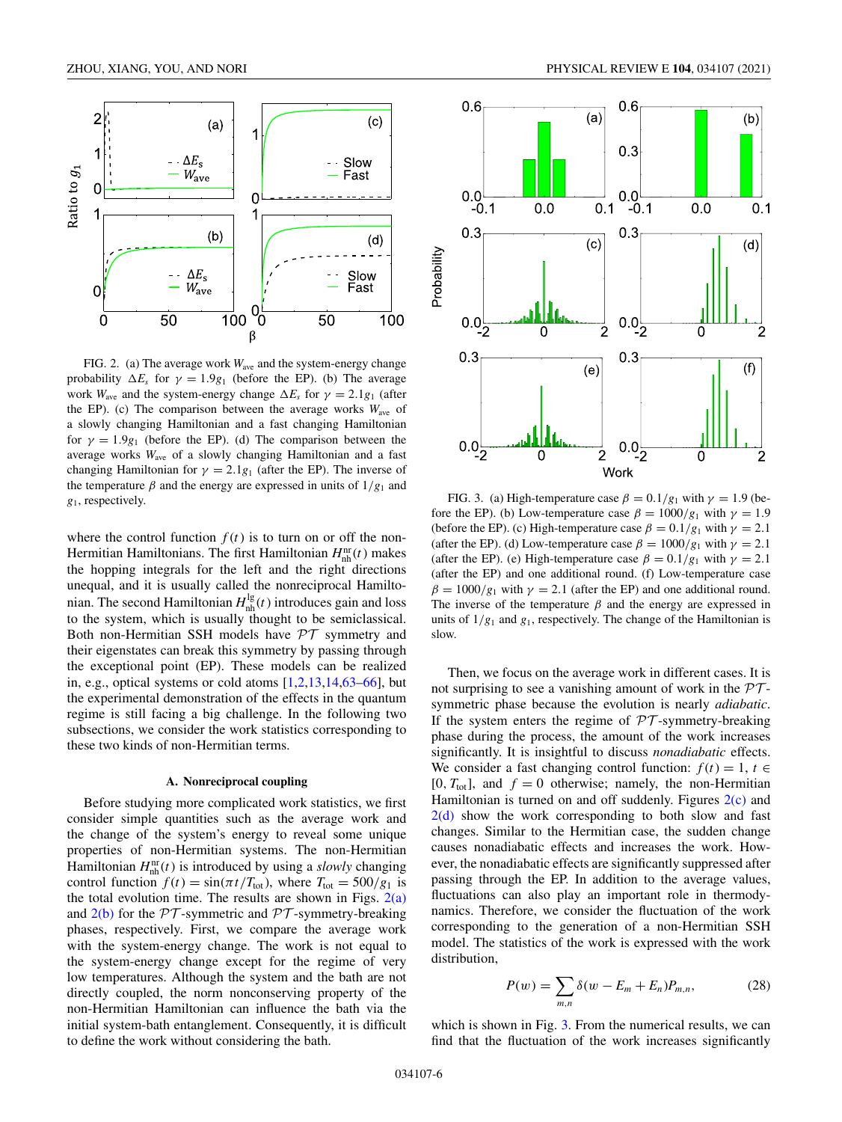<span id="page-5-0"></span>

FIG. 2. (a) The average work *W*ave and the system-energy change probability  $\Delta E_s$  for  $\gamma = 1.9g_1$  (before the EP). (b) The average work  $W_{\text{ave}}$  and the system-energy change  $\Delta E_s$  for  $\gamma = 2.1g_1$  (after the EP). (c) The comparison between the average works  $W_{\text{ave}}$  of a slowly changing Hamiltonian and a fast changing Hamiltonian for  $\gamma = 1.9g_1$  (before the EP). (d) The comparison between the average works *W*ave of a slowly changing Hamiltonian and a fast changing Hamiltonian for  $\gamma = 2.1g_1$  (after the EP). The inverse of the temperature  $\beta$  and the energy are expressed in units of  $1/g_1$  and *g*1, respectively.

where the control function  $f(t)$  is to turn on or off the non-Hermitian Hamiltonians. The first Hamiltonian  $H<sub>nh</sub><sup>nr</sup>(t)$  makes the hopping integrals for the left and the right directions unequal, and it is usually called the nonreciprocal Hamiltonian. The second Hamiltonian  $H<sub>nh</sub><sup>lg</sup>(t)$  introduces gain and loss to the system, which is usually thought to be semiclassical. Both non-Hermitian SSH models have  $\mathcal{PT}$  symmetry and their eigenstates can break this symmetry by passing through the exceptional point (EP). These models can be realized in, e.g., optical systems or cold atoms  $[1,2,13,14,63-66]$  $[1,2,13,14,63-66]$ , but the experimental demonstration of the effects in the quantum regime is still facing a big challenge. In the following two subsections, we consider the work statistics corresponding to these two kinds of non-Hermitian terms.

#### **A. Nonreciprocal coupling**

Before studying more complicated work statistics, we first consider simple quantities such as the average work and the change of the system's energy to reveal some unique properties of non-Hermitian systems. The non-Hermitian Hamiltonian  $H_{nh}^{nr}(t)$  is introduced by using a *slowly* changing control function  $f(t) = \sin(\pi t/T_{\text{tot}})$ , where  $T_{\text{tot}} = 500/g_1$  is the total evolution time. The results are shown in Figs.  $2(a)$ and  $2(b)$  for the PT-symmetric and PT-symmetry-breaking phases, respectively. First, we compare the average work with the system-energy change. The work is not equal to the system-energy change except for the regime of very low temperatures. Although the system and the bath are not directly coupled, the norm nonconserving property of the non-Hermitian Hamiltonian can influence the bath via the initial system-bath entanglement. Consequently, it is difficult to define the work without considering the bath.



FIG. 3. (a) High-temperature case  $\beta = 0.1/g_1$  with  $\gamma = 1.9$  (before the EP). (b) Low-temperature case  $\beta = 1000/g_1$  with  $\gamma = 1.9$ (before the EP). (c) High-temperature case  $\beta = 0.1/g_1$  with  $\gamma = 2.1$ (after the EP). (d) Low-temperature case  $\beta = 1000/g_1$  with  $\gamma = 2.1$ (after the EP). (e) High-temperature case  $\beta = 0.1/g_1$  with  $\gamma = 2.1$ (after the EP) and one additional round. (f) Low-temperature case  $\beta = 1000/g_1$  with  $\gamma = 2.1$  (after the EP) and one additional round. The inverse of the temperature  $\beta$  and the energy are expressed in units of  $1/g_1$  and  $g_1$ , respectively. The change of the Hamiltonian is slow.

Then, we focus on the average work in different cases. It is not surprising to see a vanishing amount of work in the  $PT$ symmetric phase because the evolution is nearly *adiabatic*. If the system enters the regime of  $PT$ -symmetry-breaking phase during the process, the amount of the work increases significantly. It is insightful to discuss *nonadiabatic* effects. We consider a fast changing control function:  $f(t) = 1, t \in$  $[0, T_{tot}]$ , and  $f = 0$  otherwise; namely, the non-Hermitian Hamiltonian is turned on and off suddenly. Figures  $2(c)$  and  $2(d)$  show the work corresponding to both slow and fast changes. Similar to the Hermitian case, the sudden change causes nonadiabatic effects and increases the work. However, the nonadiabatic effects are significantly suppressed after passing through the EP. In addition to the average values, fluctuations can also play an important role in thermodynamics. Therefore, we consider the fluctuation of the work corresponding to the generation of a non-Hermitian SSH model. The statistics of the work is expressed with the work distribution,

$$
P(w) = \sum_{m,n} \delta(w - E_m + E_n) P_{m,n}, \qquad (28)
$$

which is shown in Fig. 3. From the numerical results, we can find that the fluctuation of the work increases significantly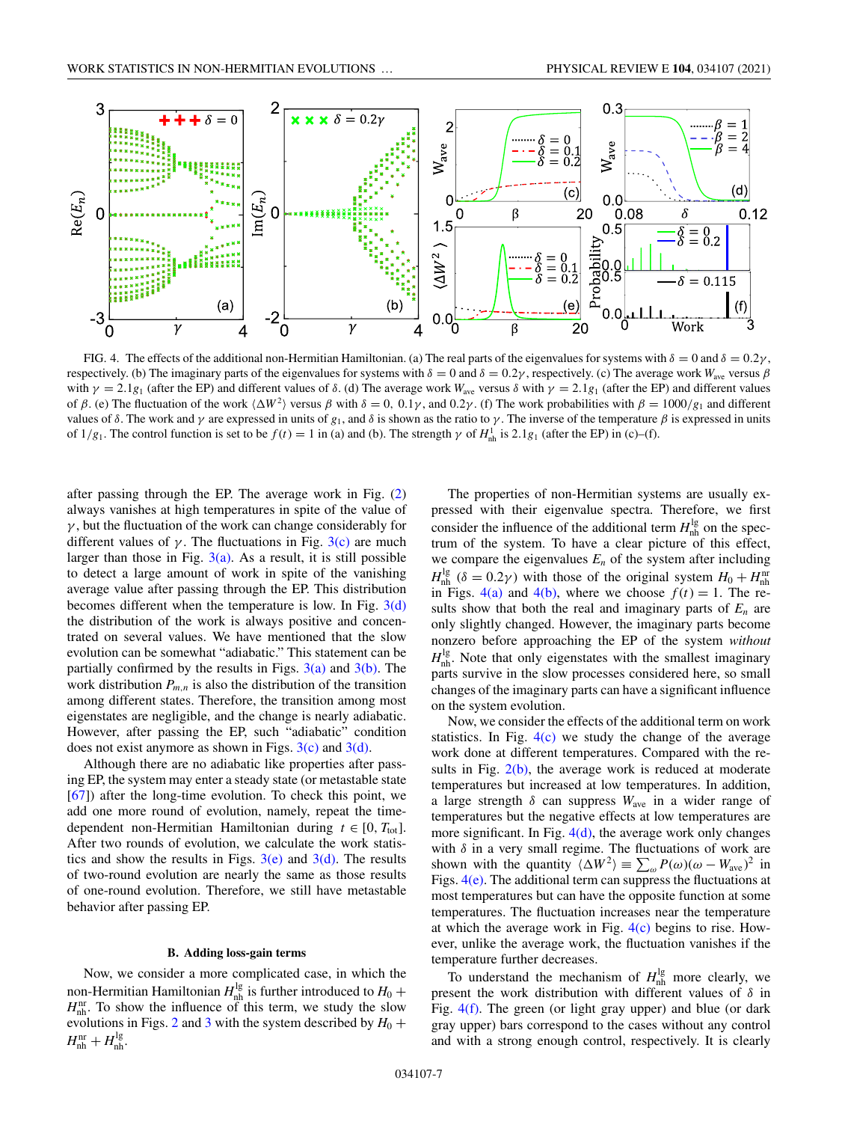

FIG. 4. The effects of the additional non-Hermitian Hamiltonian. (a) The real parts of the eigenvalues for systems with  $\delta = 0$  and  $\delta = 0.2\gamma$ , respectively. (b) The imaginary parts of the eigenvalues for systems with  $\delta = 0$  and  $\delta = 0.2\gamma$ , respectively. (c) The average work  $W_{\text{ave}}$  versus  $\beta$ with  $\gamma = 2.1g_1$  (after the EP) and different values of  $\delta$ . (d) The average work  $W_{\text{ave}}$  versus  $\delta$  with  $\gamma = 2.1g_1$  (after the EP) and different values of β. (e) The fluctuation of the work  $\langle \Delta W^2 \rangle$  versus β with  $\delta = 0$ , 0.1γ, and 0.2γ. (f) The work probabilities with  $\beta = 1000/g_1$  and different values of δ. The work and  $\gamma$  are expressed in units of  $g_1$ , and δ is shown as the ratio to  $\gamma$ . The inverse of the temperature  $\beta$  is expressed in units of  $1/g_1$ . The control function is set to be  $f(t) = 1$  in (a) and (b). The strength  $\gamma$  of  $H_{nh}^1$  is  $2.1g_1$  (after the EP) in (c)–(f).

after passing through the EP. The average work in Fig. [\(2\)](#page-5-0) always vanishes at high temperatures in spite of the value of  $\gamma$ , but the fluctuation of the work can change considerably for different values of  $\gamma$ . The fluctuations in Fig. [3\(c\)](#page-5-0) are much larger than those in Fig.  $3(a)$ . As a result, it is still possible to detect a large amount of work in spite of the vanishing average value after passing through the EP. This distribution becomes different when the temperature is low. In Fig.  $3(d)$ the distribution of the work is always positive and concentrated on several values. We have mentioned that the slow evolution can be somewhat "adiabatic." This statement can be partially confirmed by the results in Figs.  $3(a)$  and  $3(b)$ . The work distribution  $P_{m,n}$  is also the distribution of the transition among different states. Therefore, the transition among most eigenstates are negligible, and the change is nearly adiabatic. However, after passing the EP, such "adiabatic" condition does not exist anymore as shown in Figs.  $3(c)$  and  $3(d)$ .

Although there are no adiabatic like properties after passing EP, the system may enter a steady state (or metastable state [\[67\]](#page-10-0)) after the long-time evolution. To check this point, we add one more round of evolution, namely, repeat the timedependent non-Hermitian Hamiltonian during  $t \in [0, T_{tot}]$ . After two rounds of evolution, we calculate the work statistics and show the results in Figs.  $3(e)$  and  $3(d)$ . The results of two-round evolution are nearly the same as those results of one-round evolution. Therefore, we still have metastable behavior after passing EP.

#### **B. Adding loss-gain terms**

Now, we consider a more complicated case, in which the non-Hermitian Hamiltonian  $H_{nh}^{lg}$  is further introduced to  $H_0$  +  $H<sub>nh</sub><sup>nr</sup>$ . To show the influence of this term, we study the slow evolutions in Figs. [2](#page-5-0) and [3](#page-5-0) with the system described by  $H_0$  +  $H<sub>nh</sub><sup>nr</sup> + H<sub>nh</sub><sup>lg</sup>.$ 

The properties of non-Hermitian systems are usually expressed with their eigenvalue spectra. Therefore, we first consider the influence of the additional term  $H<sub>nh</sub><sup>lg</sup>$  on the spectrum of the system. To have a clear picture of this effect, we compare the eigenvalues  $E_n$  of the system after including  $H_{\text{nh}}^{\text{lg}}$  ( $\delta = 0.2\gamma$ ) with those of the original system  $H_0 + H_{\text{nh}}^{\text{nu}}$ in Figs. 4(a) and 4(b), where we choose  $f(t) = 1$ . The results show that both the real and imaginary parts of  $E_n$  are only slightly changed. However, the imaginary parts become nonzero before approaching the EP of the system *without*  $H<sub>nh</sub><sup>lg</sup>$ . Note that only eigenstates with the smallest imaginary parts survive in the slow processes considered here, so small changes of the imaginary parts can have a significant influence on the system evolution.

Now, we consider the effects of the additional term on work statistics. In Fig.  $4(c)$  we study the change of the average work done at different temperatures. Compared with the results in Fig.  $2(b)$ , the average work is reduced at moderate temperatures but increased at low temperatures. In addition, a large strength  $\delta$  can suppress  $W_{\text{ave}}$  in a wider range of temperatures but the negative effects at low temperatures are more significant. In Fig.  $4(d)$ , the average work only changes with  $\delta$  in a very small regime. The fluctuations of work are shown with the quantity  $\langle \Delta W^2 \rangle = \sum_{\omega} P(\omega) (\omega - W_{\text{ave}})^2$  in Figs.  $4(e)$ . The additional term can suppress the fluctuations at most temperatures but can have the opposite function at some temperatures. The fluctuation increases near the temperature at which the average work in Fig.  $4(c)$  begins to rise. However, unlike the average work, the fluctuation vanishes if the temperature further decreases.

To understand the mechanism of  $H<sub>nh</sub><sup>lg</sup>$  more clearly, we present the work distribution with different values of  $\delta$  in Fig.  $4(f)$ . The green (or light gray upper) and blue (or dark gray upper) bars correspond to the cases without any control and with a strong enough control, respectively. It is clearly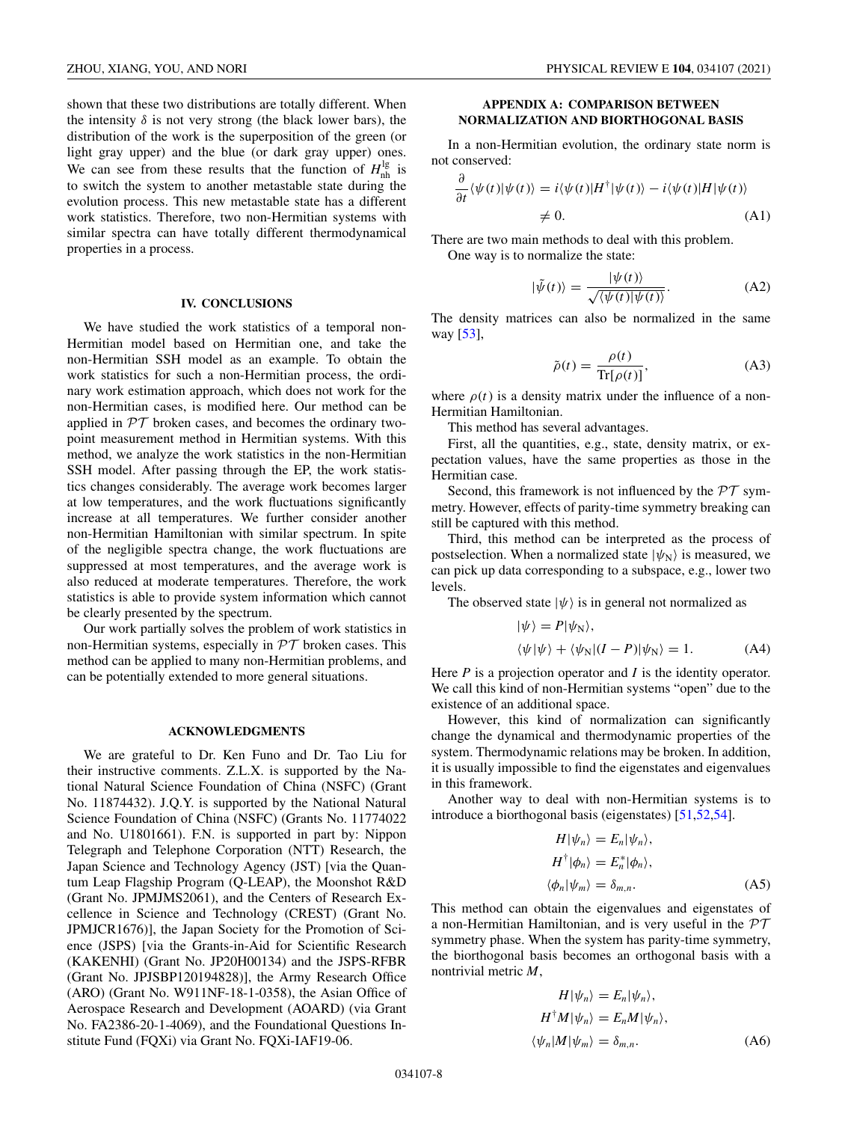<span id="page-7-0"></span>shown that these two distributions are totally different. When the intensity  $\delta$  is not very strong (the black lower bars), the distribution of the work is the superposition of the green (or light gray upper) and the blue (or dark gray upper) ones. We can see from these results that the function of  $H<sub>nh</sub><sup>lg</sup>$  is to switch the system to another metastable state during the evolution process. This new metastable state has a different work statistics. Therefore, two non-Hermitian systems with similar spectra can have totally different thermodynamical properties in a process.

## **IV. CONCLUSIONS**

We have studied the work statistics of a temporal non-Hermitian model based on Hermitian one, and take the non-Hermitian SSH model as an example. To obtain the work statistics for such a non-Hermitian process, the ordinary work estimation approach, which does not work for the non-Hermitian cases, is modified here. Our method can be applied in  $PT$  broken cases, and becomes the ordinary twopoint measurement method in Hermitian systems. With this method, we analyze the work statistics in the non-Hermitian SSH model. After passing through the EP, the work statistics changes considerably. The average work becomes larger at low temperatures, and the work fluctuations significantly increase at all temperatures. We further consider another non-Hermitian Hamiltonian with similar spectrum. In spite of the negligible spectra change, the work fluctuations are suppressed at most temperatures, and the average work is also reduced at moderate temperatures. Therefore, the work statistics is able to provide system information which cannot be clearly presented by the spectrum.

Our work partially solves the problem of work statistics in non-Hermitian systems, especially in  $PT$  broken cases. This method can be applied to many non-Hermitian problems, and can be potentially extended to more general situations.

### **ACKNOWLEDGMENTS**

We are grateful to Dr. Ken Funo and Dr. Tao Liu for their instructive comments. Z.L.X. is supported by the National Natural Science Foundation of China (NSFC) (Grant No. 11874432). J.Q.Y. is supported by the National Natural Science Foundation of China (NSFC) (Grants No. 11774022 and No. U1801661). F.N. is supported in part by: Nippon Telegraph and Telephone Corporation (NTT) Research, the Japan Science and Technology Agency (JST) [via the Quantum Leap Flagship Program (Q-LEAP), the Moonshot R&D (Grant No. JPMJMS2061), and the Centers of Research Excellence in Science and Technology (CREST) (Grant No. JPMJCR1676)], the Japan Society for the Promotion of Science (JSPS) [via the Grants-in-Aid for Scientific Research (KAKENHI) (Grant No. JP20H00134) and the JSPS-RFBR (Grant No. JPJSBP120194828)], the Army Research Office (ARO) (Grant No. W911NF-18-1-0358), the Asian Office of Aerospace Research and Development (AOARD) (via Grant No. FA2386-20-1-4069), and the Foundational Questions Institute Fund (FQXi) via Grant No. FQXi-IAF19-06.

# **APPENDIX A: COMPARISON BETWEEN NORMALIZATION AND BIORTHOGONAL BASIS**

In a non-Hermitian evolution, the ordinary state norm is not conserved:

$$
\frac{\partial}{\partial t} \langle \psi(t) | \psi(t) \rangle = i \langle \psi(t) | H^{\dagger} | \psi(t) \rangle - i \langle \psi(t) | H | \psi(t) \rangle
$$
  

$$
\neq 0.
$$
 (A1)

There are two main methods to deal with this problem. One way is to normalize the state:

$$
|\tilde{\psi}(t)\rangle = \frac{|\psi(t)\rangle}{\sqrt{\langle \psi(t)|\psi(t)\rangle}}.
$$
 (A2)

The density matrices can also be normalized in the same way [\[53\]](#page-9-0),

$$
\tilde{\rho}(t) = \frac{\rho(t)}{\text{Tr}[\rho(t)]},\tag{A3}
$$

where  $\rho(t)$  is a density matrix under the influence of a non-Hermitian Hamiltonian.

This method has several advantages.

First, all the quantities, e.g., state, density matrix, or expectation values, have the same properties as those in the Hermitian case.

Second, this framework is not influenced by the  $\mathcal{PT}$  symmetry. However, effects of parity-time symmetry breaking can still be captured with this method.

Third, this method can be interpreted as the process of postselection. When a normalized state  $|\psi_N\rangle$  is measured, we can pick up data corresponding to a subspace, e.g., lower two levels.

The observed state  $|\psi\rangle$  is in general not normalized as

$$
|\psi\rangle = P|\psi_{N}\rangle,
$$
  

$$
\langle \psi|\psi\rangle + \langle \psi_{N}|(I - P)|\psi_{N}\rangle = 1.
$$
 (A4)

Here *P* is a projection operator and *I* is the identity operator. We call this kind of non-Hermitian systems "open" due to the existence of an additional space.

However, this kind of normalization can significantly change the dynamical and thermodynamic properties of the system. Thermodynamic relations may be broken. In addition, it is usually impossible to find the eigenstates and eigenvalues in this framework.

Another way to deal with non-Hermitian systems is to introduce a biorthogonal basis (eigenstates) [\[51,52,54\]](#page-9-0).

$$
H|\psi_n\rangle = E_n|\psi_n\rangle,
$$
  
\n
$$
H^{\dagger}|\phi_n\rangle = E_n^*|\phi_n\rangle,
$$
  
\n
$$
\langle \phi_n|\psi_m\rangle = \delta_{m,n}.
$$
 (A5)

This method can obtain the eigenvalues and eigenstates of a non-Hermitian Hamiltonian, and is very useful in the  $PT$ symmetry phase. When the system has parity-time symmetry, the biorthogonal basis becomes an orthogonal basis with a nontrivial metric *M*,

$$
H|\psi_n\rangle = E_n|\psi_n\rangle,
$$
  
\n
$$
H^{\dagger}M|\psi_n\rangle = E_nM|\psi_n\rangle,
$$
  
\n
$$
\langle \psi_n|M|\psi_m\rangle = \delta_{m,n}.
$$
\n(A6)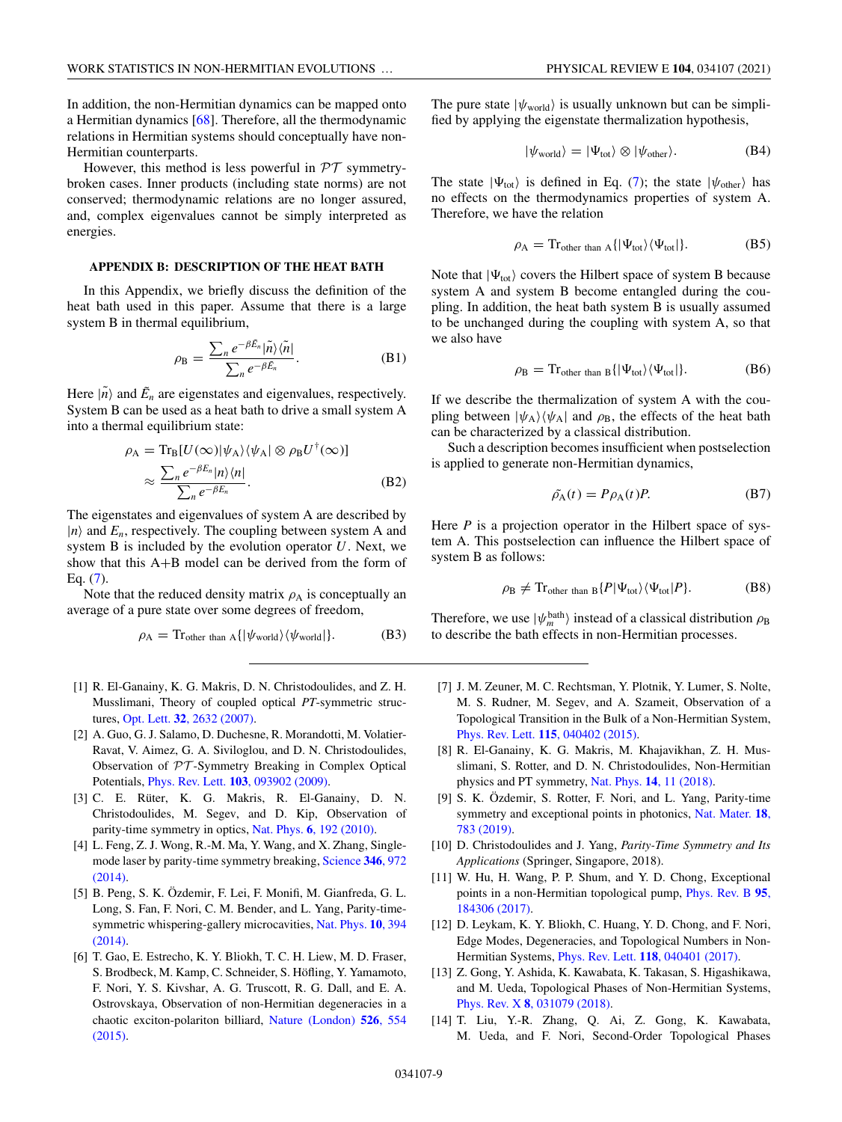<span id="page-8-0"></span>In addition, the non-Hermitian dynamics can be mapped onto a Hermitian dynamics [\[68\]](#page-10-0). Therefore, all the thermodynamic relations in Hermitian systems should conceptually have non-Hermitian counterparts.

However, this method is less powerful in  $\mathcal{PT}$  symmetrybroken cases. Inner products (including state norms) are not conserved; thermodynamic relations are no longer assured, and, complex eigenvalues cannot be simply interpreted as energies.

# **APPENDIX B: DESCRIPTION OF THE HEAT BATH**

In this Appendix, we briefly discuss the definition of the heat bath used in this paper. Assume that there is a large system B in thermal equilibrium,

$$
\rho_{\rm B} = \frac{\sum_{n} e^{-\beta \tilde{E}_{n}} |\tilde{n}\rangle \langle \tilde{n}|}{\sum_{n} e^{-\beta \tilde{E}_{n}}}.
$$
\n(B1)

Here  $|\tilde{n}\rangle$  and  $\tilde{E}_n$  are eigenstates and eigenvalues, respectively. System B can be used as a heat bath to drive a small system A into a thermal equilibrium state:

$$
\rho_{A} = Tr_{B}[U(\infty)|\psi_{A}\rangle\langle\psi_{A}| \otimes \rho_{B}U^{\dagger}(\infty)]
$$
  

$$
\approx \frac{\sum_{n} e^{-\beta E_{n}}|n\rangle\langle n|}{\sum_{n} e^{-\beta E_{n}}}.
$$
 (B2)

The eigenstates and eigenvalues of system A are described by  $|n\rangle$  and  $E_n$ , respectively. The coupling between system A and system B is included by the evolution operator *U*. Next, we show that this A+B model can be derived from the form of Eq. [\(7\)](#page-2-0).

Note that the reduced density matrix  $\rho_A$  is conceptually an average of a pure state over some degrees of freedom,

$$
\rho_{A} = \text{Tr}_{\text{other than } A} \{ |\psi_{\text{world}}\rangle \langle \psi_{\text{world}}| \}. \tag{B3}
$$

- [1] R. El-Ganainy, K. G. Makris, D. N. Christodoulides, and Z. H. Musslimani, Theory of coupled optical *PT*-symmetric structures, Opt. Lett. **32**[, 2632 \(2007\).](https://doi.org/10.1364/OL.32.002632)
- [2] A. Guo, G. J. Salamo, D. Duchesne, R. Morandotti, M. Volatier-Ravat, V. Aimez, G. A. Siviloglou, and D. N. Christodoulides, Observation of PT -Symmetry Breaking in Complex Optical Potentials, Phys. Rev. Lett. **103**[, 093902 \(2009\).](https://doi.org/10.1103/PhysRevLett.103.093902)
- [3] C. E. Rüter, K. G. Makris, R. El-Ganainy, D. N. Christodoulides, M. Segev, and D. Kip, Observation of parity-time symmetry in optics, Nat. Phys. **6**[, 192 \(2010\).](https://doi.org/10.1038/nphys1515)
- [4] L. Feng, Z. J. Wong, R.-M. Ma, Y. Wang, and X. Zhang, Single[mode laser by parity-time symmetry breaking,](https://doi.org/10.1126/science.1258479) Science **346**, 972 (2014).
- [5] B. Peng, S. K. Özdemir, F. Lei, F. Monifi, M. Gianfreda, G. L. Long, S. Fan, F. Nori, C. M. Bender, and L. Yang, Parity-time[symmetric whispering-gallery microcavities,](https://doi.org/10.1038/nphys2927) Nat. Phys. **10**, 394 (2014).
- [6] T. Gao, E. Estrecho, K. Y. Bliokh, T. C. H. Liew, M. D. Fraser, S. Brodbeck, M. Kamp, C. Schneider, S. Höfling, Y. Yamamoto, F. Nori, Y. S. Kivshar, A. G. Truscott, R. G. Dall, and E. A. Ostrovskaya, Observation of non-Hermitian degeneracies in a [chaotic exciton-polariton billiard,](https://doi.org/10.1038/nature15522) Nature (London) **526**, 554 (2015).

The pure state  $|\psi_{\text{world}}\rangle$  is usually unknown but can be simplified by applying the eigenstate thermalization hypothesis,

$$
|\psi_{\text{world}}\rangle = |\Psi_{\text{tot}}\rangle \otimes |\psi_{\text{other}}\rangle. \tag{B4}
$$

The state  $|\Psi_{\text{tot}}\rangle$  is defined in Eq. [\(7\)](#page-2-0); the state  $|\psi_{\text{other}}\rangle$  has no effects on the thermodynamics properties of system A. Therefore, we have the relation

$$
\rho_A = \text{Tr}_{\text{other than A}} \{ |\Psi_{\text{tot}}\rangle \langle \Psi_{\text{tot}} | \}. \tag{B5}
$$

Note that  $|\Psi_{\text{tot}}\rangle$  covers the Hilbert space of system B because system A and system B become entangled during the coupling. In addition, the heat bath system B is usually assumed to be unchanged during the coupling with system A, so that we also have

$$
\rho_{\rm B} = \text{Tr}_{\text{other than B}} \{ |\Psi_{\text{tot}}\rangle \langle \Psi_{\text{tot}}| \}. \tag{B6}
$$

If we describe the thermalization of system A with the coupling between  $|\psi_A\rangle\langle\psi_A|$  and  $\rho_B$ , the effects of the heat bath can be characterized by a classical distribution.

Such a description becomes insufficient when postselection is applied to generate non-Hermitian dynamics,

$$
\tilde{\rho}_{A}(t) = P \rho_{A}(t) P. \tag{B7}
$$

Here *P* is a projection operator in the Hilbert space of system A. This postselection can influence the Hilbert space of system B as follows:

$$
\rho_{\rm B} \neq \mathrm{Tr}_{\rm other \ than \ B} \{ P | \Psi_{\rm tot} \rangle \langle \Psi_{\rm tot} | P \}. \tag{B8}
$$

Therefore, we use  $|\psi_m^{\text{bath}}\rangle$  instead of a classical distribution  $\rho_B$ to describe the bath effects in non-Hermitian processes.

- [7] J. M. Zeuner, M. C. Rechtsman, Y. Plotnik, Y. Lumer, S. Nolte, M. S. Rudner, M. Segev, and A. Szameit, Observation of a Topological Transition in the Bulk of a Non-Hermitian System, Phys. Rev. Lett. **115**[, 040402 \(2015\).](https://doi.org/10.1103/PhysRevLett.115.040402)
- [8] R. El-Ganainy, K. G. Makris, M. Khajavikhan, Z. H. Musslimani, S. Rotter, and D. N. Christodoulides, Non-Hermitian physics and PT symmetry, Nat. Phys. **14**[, 11 \(2018\).](https://doi.org/10.1038/nphys4323)
- [9] S. K. Özdemir, S. Rotter, F. Nori, and L. Yang, Parity-time [symmetry and exceptional points in photonics,](https://doi.org/10.1038/s41563-019-0304-9) Nat. Mater. **18**, 783 (2019).
- [10] D. Christodoulides and J. Yang, *Parity-Time Symmetry and Its Applications* (Springer, Singapore, 2018).
- [11] W. Hu, H. Wang, P. P. Shum, and Y. D. Chong, Exceptional [points in a non-Hermitian topological pump,](https://doi.org/10.1103/PhysRevB.95.184306) Phys. Rev. B **95**, 184306 (2017).
- [12] D. Leykam, K. Y. Bliokh, C. Huang, Y. D. Chong, and F. Nori, Edge Modes, Degeneracies, and Topological Numbers in Non-Hermitian Systems, Phys. Rev. Lett. **118**[, 040401 \(2017\).](https://doi.org/10.1103/PhysRevLett.118.040401)
- [13] Z. Gong, Y. Ashida, K. Kawabata, K. Takasan, S. Higashikawa, and M. Ueda, Topological Phases of Non-Hermitian Systems, Phys. Rev. X **8**[, 031079 \(2018\).](https://doi.org/10.1103/PhysRevX.8.031079)
- [14] T. Liu, Y.-R. Zhang, Q. Ai, Z. Gong, K. Kawabata, M. Ueda, and F. Nori, Second-Order Topological Phases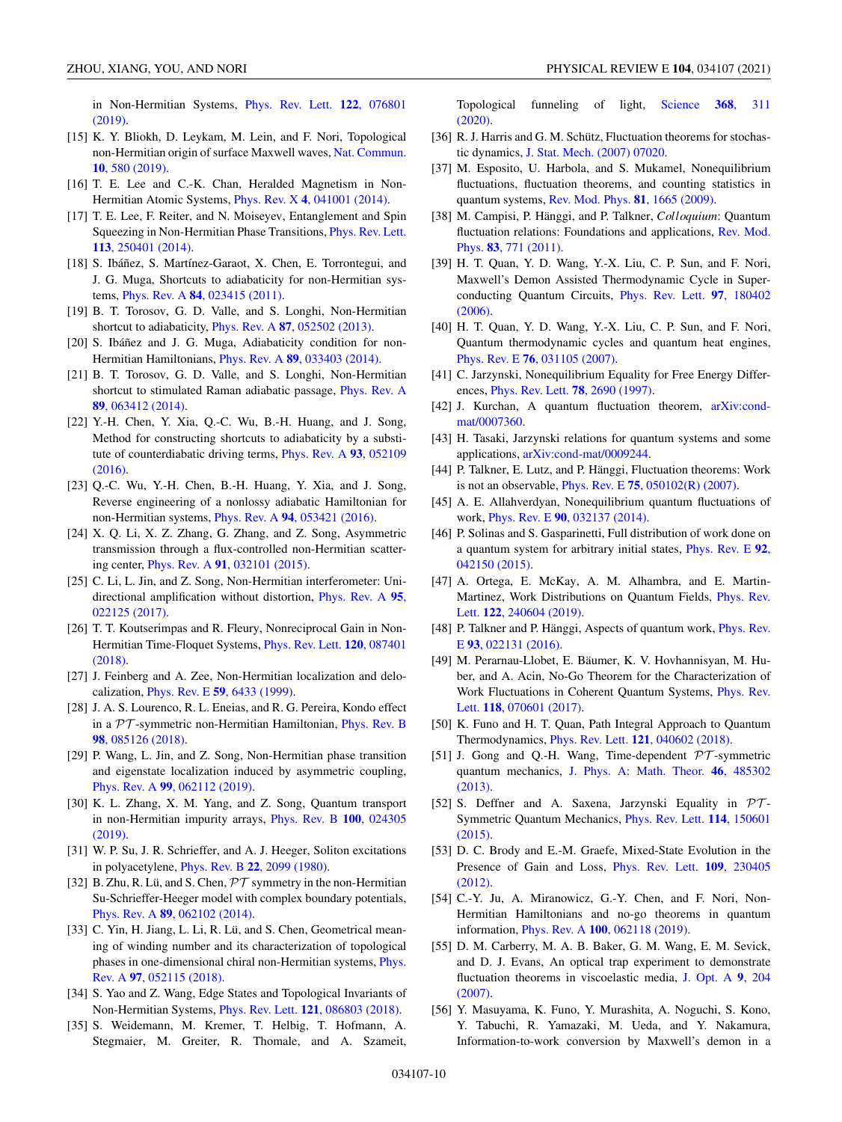<span id="page-9-0"></span>ZHOU, XIANG, YOU, AND NORI PHYSICAL REVIEW E **104**, 034107 (2021)

[in Non-Hermitian Systems,](https://doi.org/10.1103/PhysRevLett.122.076801) Phys. Rev. Lett. **122**, 076801 (2019).

- [15] K. Y. Bliokh, D. Leykam, M. Lein, and F. Nori, Topological [non-Hermitian origin of surface Maxwell waves,](https://doi.org/10.1038/s41467-019-08397-6) Nat. Commun. **10**, 580 (2019).
- [16] T. E. Lee and C.-K. Chan, Heralded Magnetism in Non-Hermitian Atomic Systems, Phys. Rev. X **4**[, 041001 \(2014\).](https://doi.org/10.1103/PhysRevX.4.041001)
- [17] T. E. Lee, F. Reiter, and N. Moiseyev, Entanglement and Spin [Squeezing in Non-Hermitian Phase Transitions,](https://doi.org/10.1103/PhysRevLett.113.250401) Phys. Rev. Lett. **113**, 250401 (2014).
- [18] S. Ibáñez, S. Martínez-Garaot, X. Chen, E. Torrontegui, and J. G. Muga, Shortcuts to adiabaticity for non-Hermitian systems, Phys. Rev. A **84**[, 023415 \(2011\).](https://doi.org/10.1103/PhysRevA.84.023415)
- [19] B. T. Torosov, G. D. Valle, and S. Longhi, Non-Hermitian shortcut to adiabaticity, Phys. Rev. A **87**[, 052502 \(2013\).](https://doi.org/10.1103/PhysRevA.87.052502)
- [20] S. Ibáñez and J. G. Muga, Adiabaticity condition for non-Hermitian Hamiltonians, Phys. Rev. A **89**[, 033403 \(2014\).](https://doi.org/10.1103/PhysRevA.89.033403)
- [21] B. T. Torosov, G. D. Valle, and S. Longhi, Non-Hermitian [shortcut to stimulated Raman adiabatic passage,](https://doi.org/10.1103/PhysRevA.89.063412) Phys. Rev. A **89**, 063412 (2014).
- [22] Y.-H. Chen, Y. Xia, Q.-C. Wu, B.-H. Huang, and J. Song, Method for constructing shortcuts to adiabaticity by a substi[tute of counterdiabatic driving terms,](https://doi.org/10.1103/PhysRevA.93.052109) Phys. Rev. A **93**, 052109 (2016).
- [23] Q.-C. Wu, Y.-H. Chen, B.-H. Huang, Y. Xia, and J. Song, Reverse engineering of a nonlossy adiabatic Hamiltonian for non-Hermitian systems, Phys. Rev. A **94**[, 053421 \(2016\).](https://doi.org/10.1103/PhysRevA.94.053421)
- [24] X. Q. Li, X. Z. Zhang, G. Zhang, and Z. Song, Asymmetric transmission through a flux-controlled non-Hermitian scattering center, Phys. Rev. A **91**[, 032101 \(2015\).](https://doi.org/10.1103/PhysRevA.91.032101)
- [25] C. Li, L. Jin, and Z. Song, Non-Hermitian interferometer: Uni[directional amplification without distortion,](https://doi.org/10.1103/PhysRevA.95.022125) Phys. Rev. A **95**, 022125 (2017).
- [26] T. T. Koutserimpas and R. Fleury, Nonreciprocal Gain in Non-[Hermitian Time-Floquet Systems,](https://doi.org/10.1103/PhysRevLett.120.087401) Phys. Rev. Lett. **120**, 087401 (2018).
- [27] J. Feinberg and A. Zee, Non-Hermitian localization and delocalization, Phys. Rev. E **59**[, 6433 \(1999\).](https://doi.org/10.1103/PhysRevE.59.6433)
- [28] J. A. S. Lourenco, R. L. Eneias, and R. G. Pereira, Kondo effect in a  $PT$ [-symmetric non-Hermitian Hamiltonian,](https://doi.org/10.1103/PhysRevB.98.085126) Phys. Rev. B **98**, 085126 (2018).
- [29] P. Wang, L. Jin, and Z. Song, Non-Hermitian phase transition and eigenstate localization induced by asymmetric coupling, Phys. Rev. A **99**[, 062112 \(2019\).](https://doi.org/10.1103/PhysRevA.99.062112)
- [30] K. L. Zhang, X. M. Yang, and Z. Song, Quantum transport [in non-Hermitian impurity arrays,](https://doi.org/10.1103/PhysRevB.100.024305) Phys. Rev. B **100**, 024305 (2019).
- [31] W. P. Su, J. R. Schrieffer, and A. J. Heeger, Soliton excitations in polyacetylene, Phys. Rev. B **22**[, 2099 \(1980\).](https://doi.org/10.1103/PhysRevB.22.2099)
- [32] B. Zhu, R. Lü, and S. Chen,  $\mathcal{PT}$  symmetry in the non-Hermitian Su-Schrieffer-Heeger model with complex boundary potentials, Phys. Rev. A **89**[, 062102 \(2014\).](https://doi.org/10.1103/PhysRevA.89.062102)
- [33] C. Yin, H. Jiang, L. Li, R. Lü, and S. Chen, Geometrical meaning of winding number and its characterization of topological [phases in one-dimensional chiral non-Hermitian systems,](https://doi.org/10.1103/PhysRevA.97.052115) Phys. Rev. A **97**, 052115 (2018).
- [34] S. Yao and Z. Wang, Edge States and Topological Invariants of Non-Hermitian Systems, Phys. Rev. Lett. **121**[, 086803 \(2018\).](https://doi.org/10.1103/PhysRevLett.121.086803)
- [35] S. Weidemann, M. Kremer, T. Helbig, T. Hofmann, A. Stegmaier, M. Greiter, R. Thomale, and A. Szameit,

[Topological funneling of light,](https://doi.org/10.1126/science.aaz8727) Science **368**, 311 (2020).

- [36] R. J. Harris and G. M. Schütz, Fluctuation theorems for stochastic dynamics, [J. Stat. Mech. \(2007\) 07020.](https://doi.org/10.1088/1742-5468/2007/07/P07020)
- [37] M. Esposito, U. Harbola, and S. Mukamel, Nonequilibrium fluctuations, fluctuation theorems, and counting statistics in quantum systems, [Rev. Mod. Phys.](https://doi.org/10.1103/RevModPhys.81.1665) **81**, 1665 (2009).
- [38] M. Campisi, P. Hänggi, and P. Talkner, *Colloquium*: Quantum [fluctuation relations: Foundations and applications,](https://doi.org/10.1103/RevModPhys.83.771) Rev. Mod. Phys. **83**, 771 (2011).
- [39] H. T. Quan, Y. D. Wang, Y.-X. Liu, C. P. Sun, and F. Nori, Maxwell's Demon Assisted Thermodynamic Cycle in Super[conducting Quantum Circuits,](https://doi.org/10.1103/PhysRevLett.97.180402) Phys. Rev. Lett. **97**, 180402 (2006).
- [40] H. T. Quan, Y. D. Wang, Y.-X. Liu, C. P. Sun, and F. Nori, Quantum thermodynamic cycles and quantum heat engines, Phys. Rev. E **76**[, 031105 \(2007\).](https://doi.org/10.1103/PhysRevE.76.031105)
- [41] C. Jarzynski, Nonequilibrium Equality for Free Energy Differences, [Phys. Rev. Lett.](https://doi.org/10.1103/PhysRevLett.78.2690) **78**, 2690 (1997).
- [42] [J. Kurchan, A quantum fluctuation theorem,](http://arxiv.org/abs/arXiv:cond-mat/0007360) arXiv:condmat/0007360.
- [43] H. Tasaki, Jarzynski relations for quantum systems and some applications, [arXiv:cond-mat/0009244.](http://arxiv.org/abs/arXiv:cond-mat/0009244)
- [44] P. Talkner, E. Lutz, and P. Hänggi, Fluctuation theorems: Work is not an observable, Phys. Rev. E **75**[, 050102\(R\) \(2007\).](https://doi.org/10.1103/PhysRevE.75.050102)
- [45] A. E. Allahverdyan, Nonequilibrium quantum fluctuations of work, Phys. Rev. E **90**[, 032137 \(2014\).](https://doi.org/10.1103/PhysRevE.90.032137)
- [46] P. Solinas and S. Gasparinetti, Full distribution of work done on [a quantum system for arbitrary initial states,](https://doi.org/10.1103/PhysRevE.92.042150) Phys. Rev. E **92**, 042150 (2015).
- [47] A. Ortega, E. McKay, A. M. Alhambra, and E. Martin-[Martinez, Work Distributions on Quantum Fields,](https://doi.org/10.1103/PhysRevLett.122.240604) Phys. Rev. Lett. **122**, 240604 (2019).
- [48] [P. Talkner and P. Hänggi, Aspects of quantum work,](https://doi.org/10.1103/PhysRevE.93.022131) *Phys. Rev.* E **93**, 022131 (2016).
- [49] M. Perarnau-Llobet, E. Bäumer, K. V. Hovhannisyan, M. Huber, and A. Acin, No-Go Theorem for the Characterization of [Work Fluctuations in Coherent Quantum Systems,](https://doi.org/10.1103/PhysRevLett.118.070601) Phys. Rev. Lett. **118**, 070601 (2017).
- [50] K. Funo and H. T. Quan, Path Integral Approach to Quantum Thermodynamics, Phys. Rev. Lett. **121**[, 040602 \(2018\).](https://doi.org/10.1103/PhysRevLett.121.040602)
- [51] J. Gong and Q.-H. Wang, Time-dependent  $\mathcal{PT}$ -symmetric quantum mechanics, [J. Phys. A: Math. Theor.](https://doi.org/10.1088/1751-8113/46/48/485302) **46**, 485302 (2013).
- [52] S. Deffner and A. Saxena, Jarzynski Equality in  $PT$ -[Symmetric Quantum Mechanics,](https://doi.org/10.1103/PhysRevLett.114.150601) Phys. Rev. Lett. **114**, 150601 (2015).
- [53] D. C. Brody and E.-M. Graefe, Mixed-State Evolution in the [Presence of Gain and Loss,](https://doi.org/10.1103/PhysRevLett.109.230405) Phys. Rev. Lett. **109**, 230405 (2012).
- [54] C.-Y. Ju, A. Miranowicz, G.-Y. Chen, and F. Nori, Non-Hermitian Hamiltonians and no-go theorems in quantum information, Phys. Rev. A **100**[, 062118 \(2019\).](https://doi.org/10.1103/PhysRevA.100.062118)
- [55] D. M. Carberry, M. A. B. Baker, G. M. Wang, E. M. Sevick, and D. J. Evans, An optical trap experiment to demonstrate [fluctuation theorems in viscoelastic media,](https://doi.org/10.1088/1464-4258/9/8/S13) J. Opt. A **9**, 204 (2007).
- [56] Y. Masuyama, K. Funo, Y. Murashita, A. Noguchi, S. Kono, Y. Tabuchi, R. Yamazaki, M. Ueda, and Y. Nakamura, Information-to-work conversion by Maxwell's demon in a